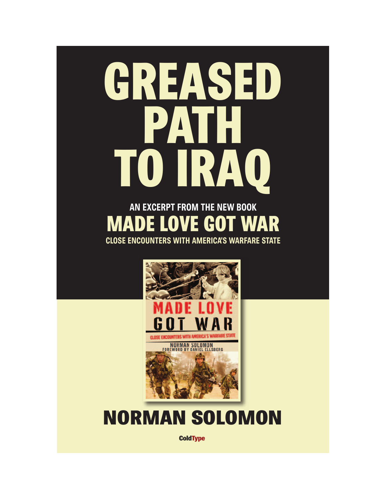# **GREASED PATH TO IRAQ AN EXCERPT FROM THE NEW BOOK**

## **MADE LOVE GOT WAR**

**CLOSE ENCOUNTERS WITH AMERICA'S WARFARE STATE**



## **NORMAN SOLOMON**

**ColdType**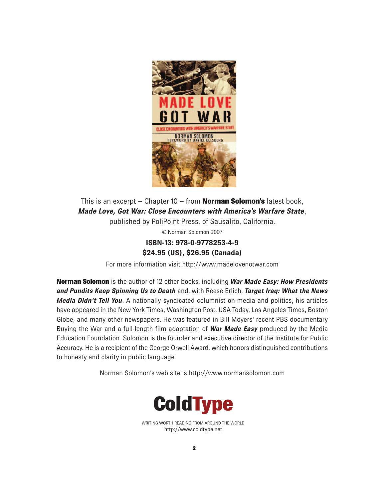

This is an excerpt – Chapter 10 – from **Norman Solomon's** latest book, *Made Love, Got War: Close Encounters with America's Warfare State*, published by PoliPoint Press, of Sausalito, California.

© Norman Solomon 2007

**ISBN-13: 978-0-9778253-4-9 \$24.95 (US), \$26.95 (Canada)**

For more information visit <http://www.madelovenotwar.com>

**Norman Solomon** is the author of 12 other books, including *War Made Easy: How Presidents and Pundits Keep Spinning Us to Death* and, with Reese Erlich, *Target Iraq: What the News Media Didn't Tell You*. A nationally syndicated columnist on media and politics, his articles have appeared in the New York Times, Washington Post, USA Today, Los Angeles Times, Boston Globe, and many other newspapers. He was featured in Bill Moyers' recent PBS documentary Buying the War and a full-length film adaptation of *War Made Easy* produced by the Media Education Foundation. Solomon is the founder and executive director of the Institute for Public Accuracy. He is a recipient of the George Orwell Award, which honors distinguished contributions to honesty and clarity in public language.

Norman Solomon's web site is <http://www.normansolomon.com>



WRITING WORTH READING FROM AROUND THE WORLD <http://www.coldtype.net>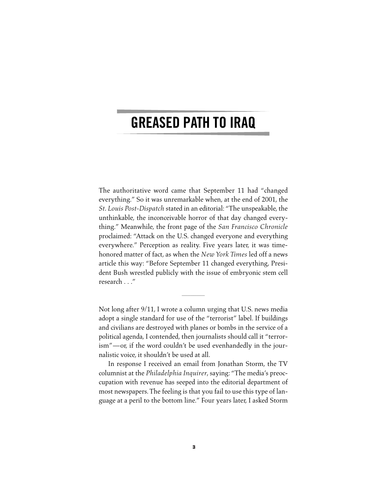### **GREASED PATH TO IRAQ**

The authoritative word came that September 11 had "changed everything." So it was unremarkable when, at the end of 2001, the *St. Louis Post-Dispatch* stated in an editorial: "The unspeakable, the unthinkable, the inconceivable horror of that day changed everything." Meanwhile, the front page of the *San Francisco Chronicle* proclaimed: "Attack on the U.S. changed everyone and everything everywhere." Perception as reality. Five years later, it was timehonored matter of fact, as when the *New York Times* led off a news article this way: "Before September 11 changed everything, President Bush wrestled publicly with the issue of embryonic stem cell research . . ."

Not long after 9/11, I wrote a column urging that U.S. news media adopt a single standard for use of the "terrorist" label. If buildings and civilians are destroyed with planes or bombs in the service of a political agenda, I contended, then journalists should call it "terrorism"—or, if the word couldn't be used evenhandedly in the journalistic voice, it shouldn't be used at all.

**––––––––**

In response I received an email from Jonathan Storm, the TV columnist at the *Philadelphia Inquirer*, saying: "The media's preoccupation with revenue has seeped into the editorial department of most newspapers. The feeling is that you fail to use this type of language at a peril to the bottom line." Four years later, I asked Storm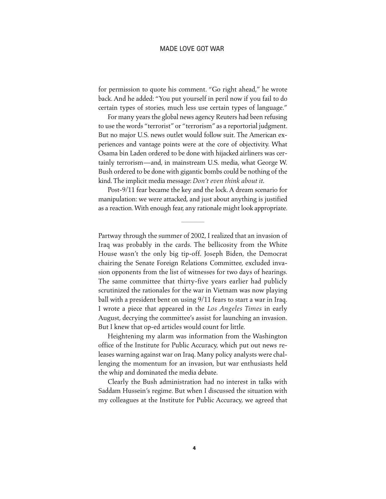for permission to quote his comment. "Go right ahead," he wrote back. And he added: "You put yourself in peril now if you fail to do certain types of stories, much less use certain types of language."

For many years the global news agency Reuters had been refusing to use the words "terrorist" or "terrorism" as a reportorial judgment. But no major U.S. news outlet would follow suit. The American experiences and vantage points were at the core of objectivity. What Osama bin Laden ordered to be done with hijacked airliners was certainly terrorism—and, in mainstream U.S. media, what George W. Bush ordered to be done with gigantic bombs could be nothing of the kind. The implicit media message: *Don't even think about it.*

Post-9/11 fear became the key and the lock. A dream scenario for manipulation: we were attacked, and just about anything is justified as a reaction.With enough fear, any rationale might look appropriate.

**––––––––**

Partway through the summer of 2002, I realized that an invasion of Iraq was probably in the cards. The bellicosity from the White House wasn't the only big tip-off. Joseph Biden, the Democrat chairing the Senate Foreign Relations Committee, excluded invasion opponents from the list of witnesses for two days of hearings. The same committee that thirty-five years earlier had publicly scrutinized the rationales for the war in Vietnam was now playing ball with a president bent on using 9/11 fears to start a war in Iraq. I wrote a piece that appeared in the *Los Angeles Times* in early August, decrying the committee's assist for launching an invasion. But I knew that op-ed articles would count for little.

Heightening my alarm was information from the Washington office of the Institute for Public Accuracy, which put out news releases warning against war on Iraq. Many policy analysts were challenging the momentum for an invasion, but war enthusiasts held the whip and dominated the media debate.

Clearly the Bush administration had no interest in talks with Saddam Hussein's regime. But when I discussed the situation with my colleagues at the Institute for Public Accuracy, we agreed that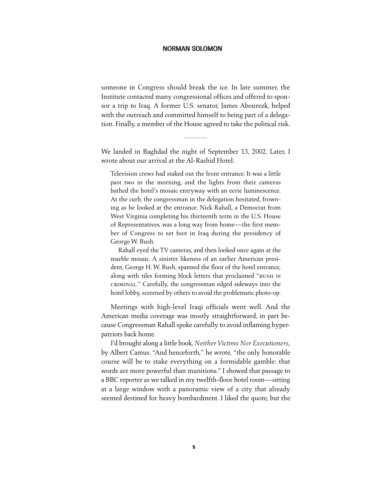someone in Congress should break the ice. In late summer, the Institute contacted many congressional offices and offered to sponsor a trip to Iraq. A former U.S. senator, James Abourezk, helped with the outreach and committed himself to being part of a delegation. Finally, a member of the House agreed to take the political risk.

We landed in Baghdad the night of September 13, 2002. Later, I wrote about our arrival at the Al-Rashid Hotel:

**––––––––**

Television crews had staked out the front entrance. It was a little past two in the morning, and the lights from their cameras bathed the hotel's mosaic entryway with an eerie luminescence. At the curb, the congressman in the delegation hesitated, frowning as he looked at the entrance. Nick Rahall, a Democrat from West Virginia completing his thirteenth term in the U.S. House of Representatives, was a long way from home—the first member of Congress to set foot in Iraq during the presidency of George W. Bush.

Rahall eyed the TV cameras, and then looked once again at the marble mosaic. A sinister likeness of an earlier American president, George H. W. Bush, spanned the floor of the hotel entrance, along with tiles forming block letters that proclaimed "bush is criminal." Carefully, the congressman edged sideways into the hotel lobby, screened by others to avoid the problematic photo-op.

Meetings with high-level Iraqi officials went well. And the American media coverage was mostly straightforward, in part because Congressman Rahall spoke carefully to avoid inflaming hyperpatriots back home.

I'd brought along a little book, *Neither Victims Nor Executioners*, by Albert Camus. "And henceforth," he wrote, "the only honorable course will be to stake everything on a formidable gamble: that words are more powerful than munitions." I showed that passage to a BBC reporter as we talked in my twelfth-floor hotel room—sitting at a large window with a panoramic view of a city that already seemed destined for heavy bombardment. I liked the quote, but the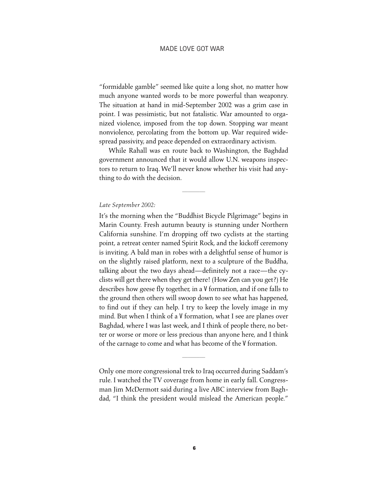"formidable gamble" seemed like quite a long shot, no matter how much anyone wanted words to be more powerful than weaponry. The situation at hand in mid-September 2002 was a grim case in point. I was pessimistic, but not fatalistic. War amounted to organized violence, imposed from the top down. Stopping war meant nonviolence, percolating from the bottom up. War required widespread passivity, and peace depended on extraordinary activism.

While Rahall was en route back to Washington, the Baghdad government announced that it would allow U.N. weapons inspectors to return to Iraq. We'll never know whether his visit had anything to do with the decision.

**––––––––**

#### *Late September 2002:*

It's the morning when the "Buddhist Bicycle Pilgrimage" begins in Marin County. Fresh autumn beauty is stunning under Northern California sunshine. I'm dropping off two cyclists at the starting point, a retreat center named Spirit Rock, and the kickoff ceremony is inviting. A bald man in robes with a delightful sense of humor is on the slightly raised platform, next to a sculpture of the Buddha, talking about the two days ahead—definitely not a race—the cyclists will get there when they get there! (How Zen can you get?) He describes how geese fly together, in a V formation, and if one falls to the ground then others will swoop down to see what has happened, to find out if they can help. I try to keep the lovely image in my mind. But when I think of a V formation, what I see are planes over Baghdad, where I was last week, and I think of people there, no better or worse or more or less precious than anyone here, and I think of the carnage to come and what has become of the V formation.

Only one more congressional trek to Iraq occurred during Saddam's rule. I watched the TV coverage from home in early fall. Congressman Jim McDermott said during a live ABC interview from Baghdad, "I think the president would mislead the American people."

**––––––––**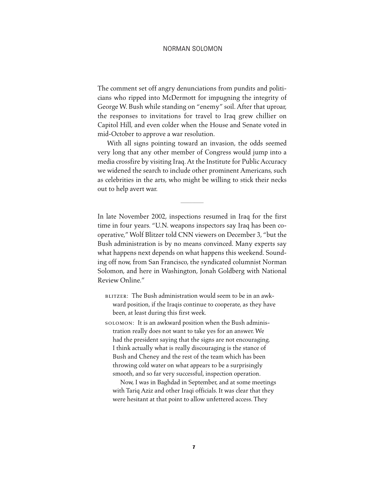The comment set off angry denunciations from pundits and politicians who ripped into McDermott for impugning the integrity of George W. Bush while standing on "enemy" soil. After that uproar, the responses to invitations for travel to Iraq grew chillier on Capitol Hill, and even colder when the House and Senate voted in mid-October to approve a war resolution.

With all signs pointing toward an invasion, the odds seemed very long that any other member of Congress would jump into a media crossfire by visiting Iraq. At the Institute for Public Accuracy we widened the search to include other prominent Americans, such as celebrities in the arts, who might be willing to stick their necks out to help avert war.

**––––––––**

In late November 2002, inspections resumed in Iraq for the first time in four years. "U.N. weapons inspectors say Iraq has been cooperative," Wolf Blitzer told CNN viewers on December 3, "but the Bush administration is by no means convinced. Many experts say what happens next depends on what happens this weekend. Sounding off now, from San Francisco, the syndicated columnist Norman Solomon, and here in Washington, Jonah Goldberg with National Review Online."

- BLITZER: The Bush administration would seem to be in an awkward position, if the Iraqis continue to cooperate, as they have been, at least during this first week.
- solomon: It is an awkward position when the Bush administration really does not want to take yes for an answer. We had the president saying that the signs are not encouraging. I think actually what is really discouraging is the stance of Bush and Cheney and the rest of the team which has been throwing cold water on what appears to be a surprisingly smooth, and so far very successful, inspection operation.

Now, I was in Baghdad in September, and at some meetings with Tariq Aziz and other Iraqi officials. It was clear that they were hesitant at that point to allow unfettered access. They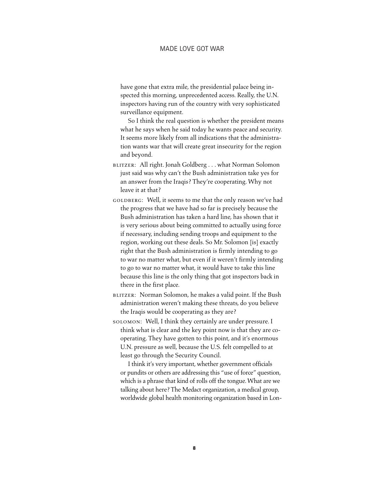have gone that extra mile, the presidential palace being inspected this morning, unprecedented access. Really, the U.N. inspectors having run of the country with very sophisticated surveillance equipment.

So I think the real question is whether the president means what he says when he said today he wants peace and security. It seems more likely from all indications that the administration wants war that will create great insecurity for the region and beyond.

- blitzer: All right. Jonah Goldberg . . . what Norman Solomon just said was why can't the Bush administration take yes for an answer from the Iraqis? They're cooperating. Why not leave it at that?
- GOLDBERG: Well, it seems to me that the only reason we've had the progress that we have had so far is precisely because the Bush administration has taken a hard line, has shown that it is very serious about being committed to actually using force if necessary, including sending troops and equipment to the region, working out these deals. So Mr. Solomon [is] exactly right that the Bush administration is firmly intending to go to war no matter what, but even if it weren't firmly intending to go to war no matter what, it would have to take this line because this line is the only thing that got inspectors back in there in the first place.
- BLITZER: Norman Solomon, he makes a valid point. If the Bush administration weren't making these threats, do you believe the Iraqis would be cooperating as they are?
- solomon: Well, I think they certainly are under pressure. I think what is clear and the key point now is that they are cooperating. They have gotten to this point, and it's enormous U.N. pressure as well, because the U.S. felt compelled to at least go through the Security Council.

I think it's very important, whether government officials or pundits or others are addressing this "use of force" question, which is a phrase that kind of rolls off the tongue. What are we talking about here? The Medact organization, a medical group, worldwide global health monitoring organization based in Lon-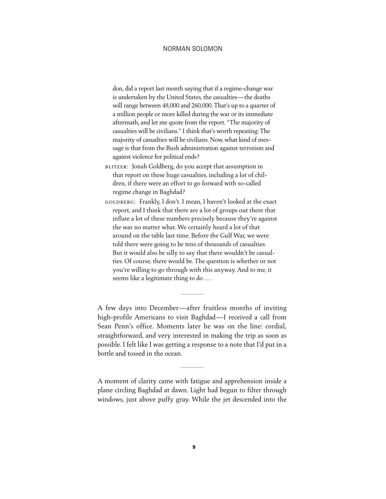don, did a report last month saying that if a regime-change war is undertaken by the United States, the casualties—the deaths will range between 48,000 and 260,000. That's up to a quarter of a million people or more killed during the war or its immediate aftermath, and let me quote from the report. "The majority of casualties will be civilians." I think that's worth repeating: The majority of casualties will be civilians. Now, what kind of message is that from the Bush administration against terrorism and against violence for political ends?

- BLITZER: Jonah Goldberg, do you accept that assumption in that report on these huge casualties, including a lot of children, if there were an effort to go forward with so-called regime change in Baghdad?
- goldberg: Frankly, I don't. I mean, I haven't looked at the exact report, and I think that there are a lot of groups out there that inflate a lot of these numbers precisely because they're against the war no matter what. We certainly heard a lot of that around on the table last time. Before the Gulf War, we were told there were going to be tens of thousands of casualties. But it would also be silly to say that there wouldn't be casualties. Of course, there would be. The question is whether or not you're willing to go through with this anyway. And to me, it seems like a legitimate thing to do . . .

A few days into December—after fruitless months of inviting high-profile Americans to visit Baghdad—I received a call from Sean Penn's office. Moments later he was on the line: cordial, straightforward, and very interested in making the trip as soon as possible. I felt like I was getting a response to a note that I'd put in a bottle and tossed in the ocean.

**––––––––**

A moment of clarity came with fatigue and apprehension inside a plane circling Baghdad at dawn. Light had begun to filter through windows, just above puffy gray. While the jet descended into the

**––––––––**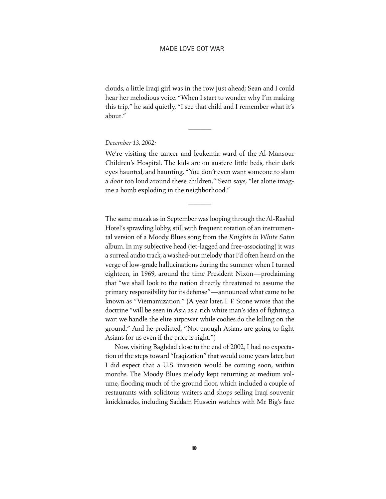clouds, a little Iraqi girl was in the row just ahead; Sean and I could hear her melodious voice. "When I start to wonder why I'm making this trip," he said quietly, "I see that child and I remember what it's about."

**––––––––**

#### *December 13, 2002:*

We're visiting the cancer and leukemia ward of the Al-Mansour Children's Hospital. The kids are on austere little beds, their dark eyes haunted, and haunting. "You don't even want someone to slam a *door* too loud around these children," Sean says, "let alone imagine a bomb exploding in the neighborhood."

**––––––––**

The same muzak as in September was looping through the Al-Rashid Hotel's sprawling lobby, still with frequent rotation of an instrumental version of a Moody Blues song from the *Knights in White Satin* album. In my subjective head (jet-lagged and free-associating) it was a surreal audio track, a washed-out melody that I'd often heard on the verge of low-grade hallucinations during the summer when I turned eighteen, in 1969, around the time President Nixon—proclaiming that "we shall look to the nation directly threatened to assume the primary responsibility for its defense"—announced what came to be known as "Vietnamization." (A year later, I. F. Stone wrote that the doctrine "will be seen in Asia as a rich white man's idea of fighting a war: we handle the elite airpower while coolies do the killing on the ground." And he predicted, "Not enough Asians are going to fight Asians for us even if the price is right.")

Now, visiting Baghdad close to the end of 2002, I had no expectation of the steps toward "Iraqization" that would come years later, but I did expect that a U.S. invasion would be coming soon, within months. The Moody Blues melody kept returning at medium volume, flooding much of the ground floor, which included a couple of restaurants with solicitous waiters and shops selling Iraqi souvenir knickknacks, including Saddam Hussein watches with Mr. Big's face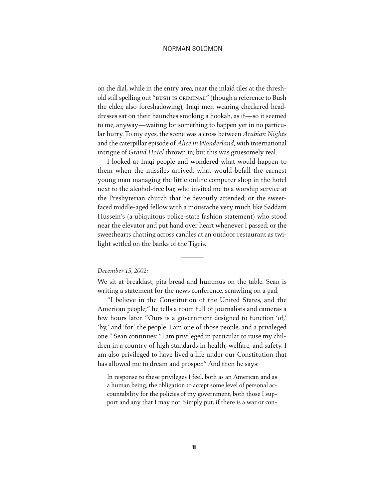on the dial, while in the entry area, near the inlaid tiles at the threshold still spelling out "bush is criminal" (though a reference to Bush the elder, also foreshadowing), Iraqi men wearing checkered headdresses sat on their haunches smoking a hookah, as if—so it seemed to me, anyway—waiting for something to happen yet in no particular hurry. To my eyes, the scene was a cross between *Arabian Nights* and the caterpillar episode of *Alice inWonderland*, with international intrigue of *Grand Hotel* thrown in; but this was gruesomely real.

I looked at Iraqi people and wondered what would happen to them when the missiles arrived, what would befall the earnest young man managing the little online computer shop in the hotel next to the alcohol-free bar, who invited me to a worship service at the Presbyterian church that he devoutly attended; or the sweetfaced middle-aged fellow with a moustache very much like Saddam Hussein's (a ubiquitous police-state fashion statement) who stood near the elevator and put hand over heart whenever I passed; or the sweethearts chatting across candles at an outdoor restaurant as twilight settled on the banks of the Tigris.

#### *December 15, 2002:*

We sit at breakfast, pita bread and hummus on the table. Sean is writing a statement for the news conference, scrawling on a pad.

**––––––––**

"I believe in the Constitution of the United States, and the American people," he tells a room full of journalists and cameras a few hours later. "Ours is a government designed to function 'of,' 'by,' and 'for' the people. I am one of those people, and a privileged one." Sean continues: "I am privileged in particular to raise my children in a country of high standards in health, welfare, and safety. I am also privileged to have lived a life under our Constitution that has allowed me to dream and prosper." And then he says:

In response to these privileges I feel, both as an American and as a human being, the obligation to accept some level of personal accountability for the policies of my government, both those I support and any that I may not. Simply put, if there is a war or con-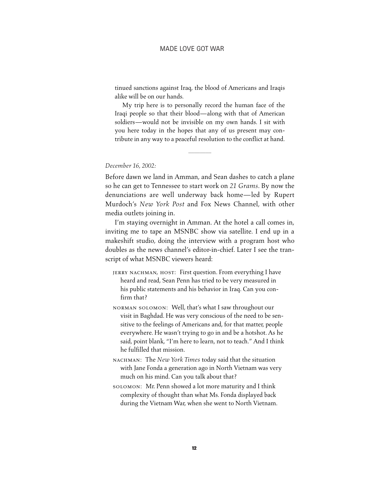tinued sanctions against Iraq, the blood of Americans and Iraqis alike will be on our hands.

My trip here is to personally record the human face of the Iraqi people so that their blood—along with that of American soldiers—would not be invisible on my own hands. I sit with you here today in the hopes that any of us present may contribute in any way to a peaceful resolution to the conflict at hand.

**––––––––**

#### *December 16, 2002:*

Before dawn we land in Amman, and Sean dashes to catch a plane so he can get to Tennessee to start work on *21 Grams*. By now the denunciations are well underway back home—led by Rupert Murdoch's *New York Post* and Fox News Channel, with other media outlets joining in.

I'm staying overnight in Amman. At the hotel a call comes in, inviting me to tape an MSNBC show via satellite. I end up in a makeshift studio, doing the interview with a program host who doubles as the news channel's editor-in-chief. Later I see the transcript of what MSNBC viewers heard:

- JERRY NACHMAN, HOST: First question. From everything I have heard and read, Sean Penn has tried to be very measured in his public statements and his behavior in Iraq. Can you confirm that?
- norman solomon: Well, that's what I saw throughout our visit in Baghdad. He was very conscious of the need to be sensitive to the feelings of Americans and, for that matter, people everywhere. He wasn't trying to go in and be a hotshot. As he said, point blank, "I'm here to learn, not to teach." And I think he fulfilled that mission.
- nachman: The *New York Times* today said that the situation with Jane Fonda a generation ago in North Vietnam was very much on his mind. Can you talk about that?
- solomon: Mr. Penn showed a lot more maturity and I think complexity of thought than what Ms. Fonda displayed back during the Vietnam War, when she went to North Vietnam.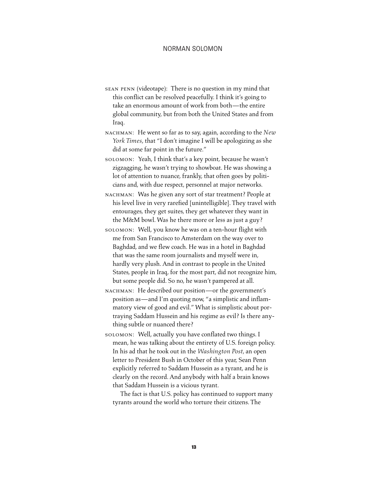- sean penn (videotape): There is no question in my mind that this conflict can be resolved peacefully. I think it's going to take an enormous amount of work from both—the entire global community, but from both the United States and from Iraq.
- nachman: He went so far as to say, again, according to the *New York Times*, that "I don't imagine I will be apologizing as she did at some far point in the future."
- solomon: Yeah, I think that's a key point, because he wasn't zigzagging, he wasn't trying to showboat. He was showing a lot of attention to nuance, frankly, that often goes by politicians and, with due respect, personnel at major networks.
- NACHMAN: Was he given any sort of star treatment? People at his level live in very rarefied [unintelligible]. They travel with entourages, they get suites, they get whatever they want in the M&M bowl. Was he there more or less as just a guy?
- solomon: Well, you know he was on a ten-hour flight with me from San Francisco to Amsterdam on the way over to Baghdad, and we flew coach. He was in a hotel in Baghdad that was the same room journalists and myself were in, hardly very plush. And in contrast to people in the United States, people in Iraq, for the most part, did not recognize him, but some people did. So no, he wasn't pampered at all.
- NACHMAN: He described our position-or the government's position as—and I'm quoting now, "a simplistic and inflammatory view of good and evil." What is simplistic about portraying Saddam Hussein and his regime as evil? Is there anything subtle or nuanced there?
- solomon: Well, actually you have conflated two things. I mean, he was talking about the entirety of U.S. foreign policy. In his ad that he took out in the *Washington Post*, an open letter to President Bush in October of this year, Sean Penn explicitly referred to Saddam Hussein as a tyrant, and he is clearly on the record. And anybody with half a brain knows that Saddam Hussein is a vicious tyrant.

The fact is that U.S. policy has continued to support many tyrants around the world who torture their citizens. The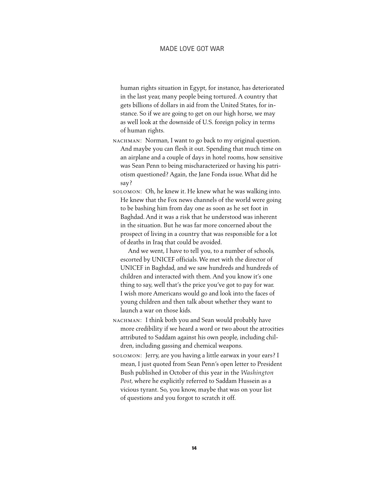human rights situation in Egypt, for instance, has deteriorated in the last year, many people being tortured. A country that gets billions of dollars in aid from the United States, for instance. So if we are going to get on our high horse, we may as well look at the downside of U.S. foreign policy in terms of human rights.

- NACHMAN: Norman, I want to go back to my original question. And maybe you can flesh it out. Spending that much time on an airplane and a couple of days in hotel rooms, how sensitive was Sean Penn to being mischaracterized or having his patriotism questioned? Again, the Jane Fonda issue. What did he say?
- solomon: Oh, he knew it. He knew what he was walking into. He knew that the Fox news channels of the world were going to be bashing him from day one as soon as he set foot in Baghdad. And it was a risk that he understood was inherent in the situation. But he was far more concerned about the prospect of living in a country that was responsible for a lot of deaths in Iraq that could be avoided.

And we went, I have to tell you, to a number of schools, escorted by UNICEF officials. We met with the director of UNICEF in Baghdad, and we saw hundreds and hundreds of children and interacted with them. And you know it's one thing to say, well that's the price you've got to pay for war. I wish more Americans would go and look into the faces of young children and then talk about whether they want to launch a war on those kids.

- NACHMAN: I think both you and Sean would probably have more credibility if we heard a word or two about the atrocities attributed to Saddam against his own people, including children, including gassing and chemical weapons.
- solomon: Jerry, are you having a little earwax in your ears? I mean, I just quoted from Sean Penn's open letter to President Bush published in October of this year in the *Washington Post,* where he explicitly referred to Saddam Hussein as a vicious tyrant. So, you know, maybe that was on your list of questions and you forgot to scratch it off.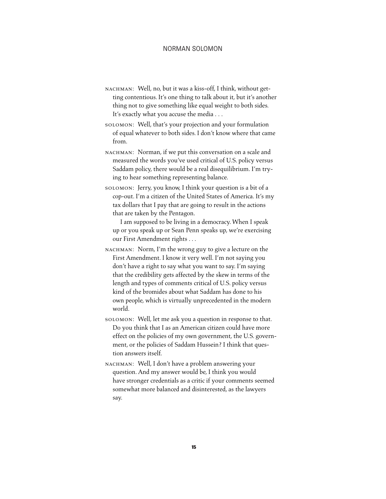- NACHMAN: Well, no, but it was a kiss-off, I think, without getting contentious. It's one thing to talk about it, but it's another thing not to give something like equal weight to both sides. It's exactly what you accuse the media . . .
- solomon: Well, that's your projection and your formulation of equal whatever to both sides. I don't know where that came from.
- NACHMAN: Norman, if we put this conversation on a scale and measured the words you've used critical of U.S. policy versus Saddam policy, there would be a real disequilibrium. I'm trying to hear something representing balance.
- solomon: Jerry, you know, I think your question is a bit of a cop-out. I'm a citizen of the United States of America. It's my tax dollars that I pay that are going to result in the actions that are taken by the Pentagon.

I am supposed to be living in a democracy. When I speak up or you speak up or Sean Penn speaks up, we're exercising our First Amendment rights . . .

- NACHMAN: Norm, I'm the wrong guy to give a lecture on the First Amendment. I know it very well. I'm not saying you don't have a right to say what you want to say. I'm saying that the credibility gets affected by the skew in terms of the length and types of comments critical of U.S. policy versus kind of the bromides about what Saddam has done to his own people, which is virtually unprecedented in the modern world.
- solomon: Well, let me ask you a question in response to that. Do you think that I as an American citizen could have more effect on the policies of my own government, the U.S. government, or the policies of Saddam Hussein? I think that question answers itself.

NACHMAN: Well, I don't have a problem answering your question. And my answer would be, I think you would have stronger credentials as a critic if your comments seemed somewhat more balanced and disinterested, as the lawyers say.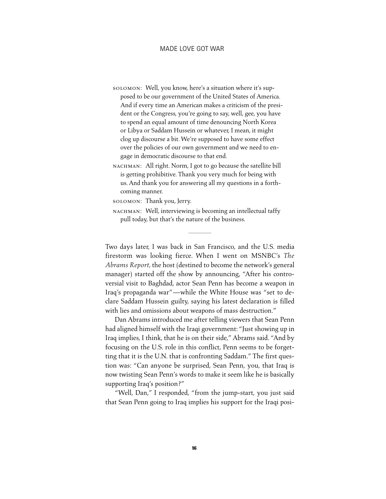- solomon: Well, you know, here's a situation where it's supposed to be our government of the United States of America. And if every time an American makes a criticism of the president or the Congress, you're going to say, well, gee, you have to spend an equal amount of time denouncing North Korea or Libya or Saddam Hussein or whatever, I mean, it might clog up discourse a bit. We're supposed to have some effect over the policies of our own government and we need to engage in democratic discourse to that end.
- NACHMAN: All right. Norm, I got to go because the satellite bill is getting prohibitive. Thank you very much for being with us. And thank you for answering all my questions in a forthcoming manner.

solomon: Thank you, Jerry.

NACHMAN: Well, interviewing is becoming an intellectual taffy pull today, but that's the nature of the business.

**––––––––**

Two days later, I was back in San Francisco, and the U.S. media firestorm was looking fierce. When I went on MSNBC's *The Abrams Report*, the host (destined to become the network's general manager) started off the show by announcing, "After his controversial visit to Baghdad, actor Sean Penn has become a weapon in Iraq's propaganda war"—while the White House was "set to declare Saddam Hussein guilty, saying his latest declaration is filled with lies and omissions about weapons of mass destruction."

Dan Abrams introduced me after telling viewers that Sean Penn had aligned himself with the Iraqi government: "Just showing up in Iraq implies, I think, that he is on their side," Abrams said. "And by focusing on the U.S. role in this conflict, Penn seems to be forgetting that it is the U.N. that is confronting Saddam." The first question was: "Can anyone be surprised, Sean Penn, you, that Iraq is now twisting Sean Penn's words to make it seem like he is basically supporting Iraq's position?"

"Well, Dan," I responded, "from the jump-start, you just said that Sean Penn going to Iraq implies his support for the Iraqi posi-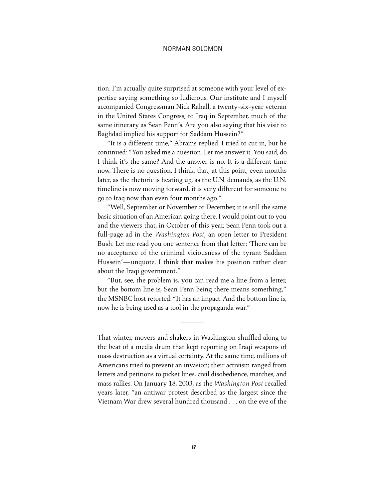tion. I'm actually quite surprised at someone with your level of expertise saying something so ludicrous. Our institute and I myself accompanied Congressman Nick Rahall, a twenty-six-year veteran in the United States Congress, to Iraq in September, much of the same itinerary as Sean Penn's. Are you also saying that his visit to Baghdad implied his support for Saddam Hussein?"

"It is a different time," Abrams replied. I tried to cut in, but he continued: "You asked me a question. Let me answer it. You said, do I think it's the same? And the answer is no. It is a different time now. There is no question, I think, that, at this point, even months later, as the rhetoric is heating up, as the U.N. demands, as the U.N. timeline is now moving forward, it is very different for someone to go to Iraq now than even four months ago."

"Well, September or November or December, it is still the same basic situation of an American going there. I would point out to you and the viewers that, in October of this year, Sean Penn took out a full-page ad in the *Washington Post*, an open letter to President Bush. Let me read you one sentence from that letter: 'There can be no acceptance of the criminal viciousness of the tyrant Saddam Hussein'—unquote. I think that makes his position rather clear about the Iraqi government."

"But, see, the problem is, you can read me a line from a letter, but the bottom line is, Sean Penn being there means something," the MSNBC host retorted. "It has an impact. And the bottom line is, now he is being used as a tool in the propaganda war."

**––––––––**

That winter, movers and shakers in Washington shuffled along to the beat of a media drum that kept reporting on Iraqi weapons of mass destruction as a virtual certainty. At the same time, millions of Americans tried to prevent an invasion; their activism ranged from letters and petitions to picket lines, civil disobedience, marches, and mass rallies. On January 18, 2003, as the *Washington Post* recalled years later, "an antiwar protest described as the largest since the Vietnam War drew several hundred thousand . . . on the eve of the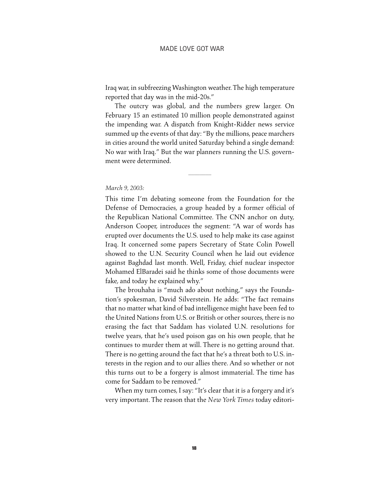Iraq war, in subfreezing Washington weather. The high temperature reported that day was in the mid-20s."

The outcry was global, and the numbers grew larger. On February 15 an estimated 10 million people demonstrated against the impending war. A dispatch from Knight-Ridder news service summed up the events of that day: "By the millions, peace marchers in cities around the world united Saturday behind a single demand: No war with Iraq." But the war planners running the U.S. government were determined.

**––––––––**

#### *March 9, 2003:*

This time I'm debating someone from the Foundation for the Defense of Democracies, a group headed by a former official of the Republican National Committee. The CNN anchor on duty, Anderson Cooper, introduces the segment: "A war of words has erupted over documents the U.S. used to help make its case against Iraq. It concerned some papers Secretary of State Colin Powell showed to the U.N. Security Council when he laid out evidence against Baghdad last month. Well, Friday, chief nuclear inspector Mohamed ElBaradei said he thinks some of those documents were fake, and today he explained why."

The brouhaha is "much ado about nothing," says the Foundation's spokesman, David Silverstein. He adds: "The fact remains that no matter what kind of bad intelligence might have been fed to the United Nations from U.S. or British or other sources, there is no erasing the fact that Saddam has violated U.N. resolutions for twelve years, that he's used poison gas on his own people, that he continues to murder them at will. There is no getting around that. There is no getting around the fact that he's a threat both to U.S. interests in the region and to our allies there. And so whether or not this turns out to be a forgery is almost immaterial. The time has come for Saddam to be removed."

When my turn comes, I say: "It's clear that it is a forgery and it's very important. The reason that the *New York Times* today editori-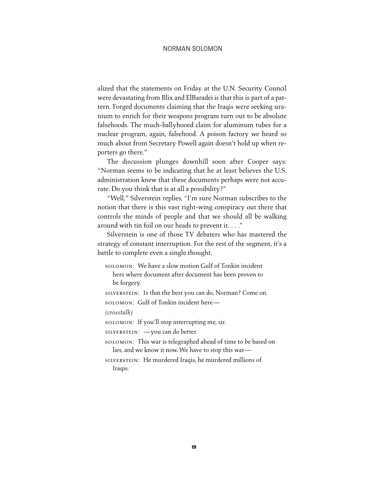alized that the statements on Friday at the U.N. Security Council were devastating from Blix and ElBaradei is that this is part of a pattern. Forged documents claiming that the Iraqis were seeking uranium to enrich for their weapons program turn out to be absolute falsehoods. The much-ballyhooed claim for aluminum tubes for a nuclear program, again, falsehood. A poison factory we heard so much about from Secretary Powell again doesn't hold up when reporters go there."

The discussion plunges downhill soon after Cooper says: "Norman seems to be indicating that he at least believes the U.S. administration knew that these documents perhaps were not accurate. Do you think that is at all a possibility?"

"Well," Silverstein replies, "I'm sure Norman subscribes to the notion that there is this vast right-wing conspiracy out there that controls the minds of people and that we should all be walking around with tin foil on our heads to prevent it. . . ."

Silverstein is one of those TV debaters who has mastered the strategy of constant interruption. For the rest of the segment, it's a battle to complete even a single thought.

solomon: We have a slow motion Gulf of Tonkin incident here where document after document has been proven to be forgery.

silverstein: Is that the best you can do, Norman? Come on.

sOLOMON: Gulf of Tonkin incident here-

*(crosstalk)*

solomon: If you'll stop interrupting me, sir.

silverstein: - you can do better.

solomon: This war is telegraphed ahead of time to be based on lies, and we know it now. We have to stop this war—

silverstein: He murdered Iraqis, he murdered millions of Iraqis.